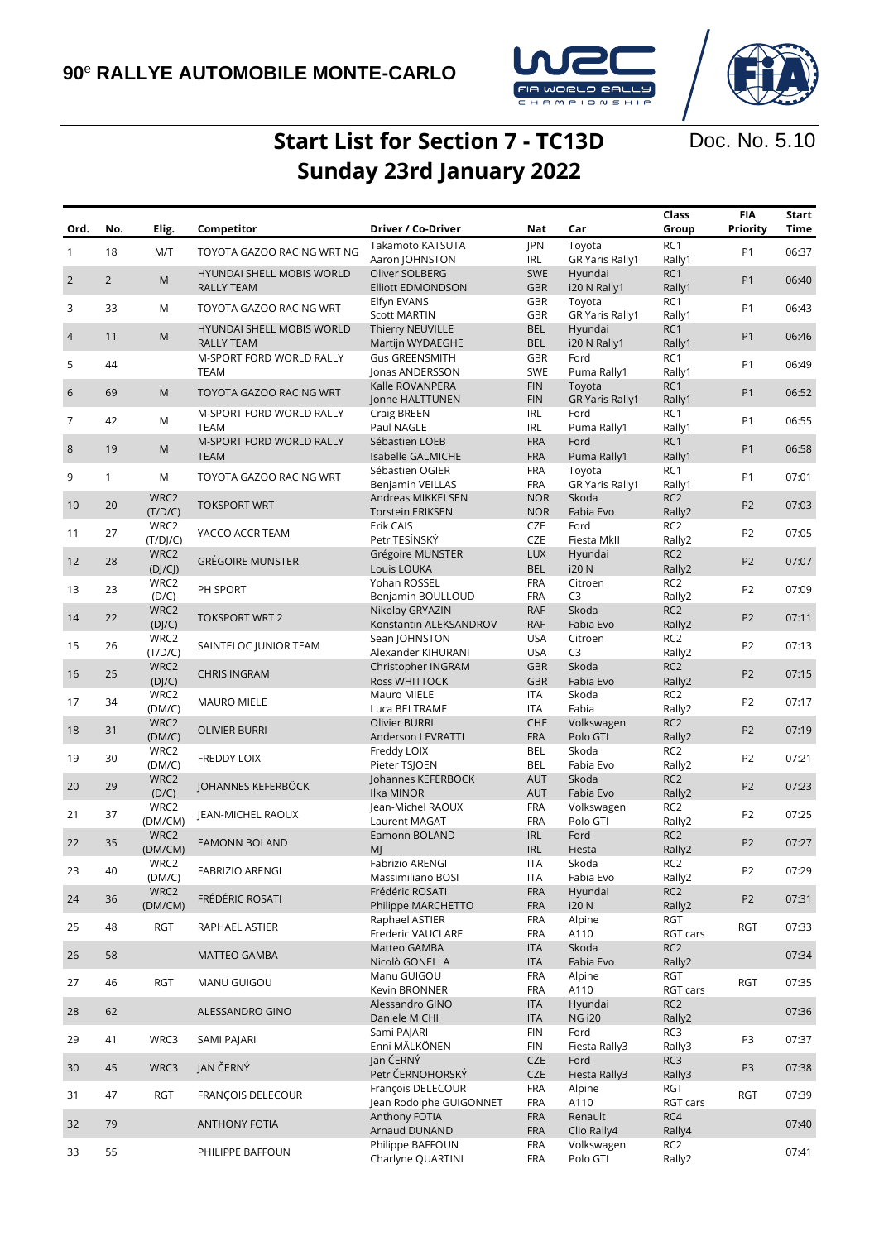

Doc. No. 5.10

## **Start List for Section 7 - TC13D Sunday 23rd January 2022**

| Ord.           | No.            | Elig.            | Competitor                                     | Driver / Co-Driver                         | Nat                      | Car                       | Class<br>Group              | <b>FIA</b><br>Priority | Start<br>Time |
|----------------|----------------|------------------|------------------------------------------------|--------------------------------------------|--------------------------|---------------------------|-----------------------------|------------------------|---------------|
| $\mathbf{1}$   | 18             | M/T              | TOYOTA GAZOO RACING WRT NG                     | Takamoto KATSUTA                           | JPN                      | Toyota                    | RC <sub>1</sub>             | P <sub>1</sub>         | 06:37         |
|                |                |                  |                                                | Aaron JOHNSTON                             | IRL                      | <b>GR Yaris Rally1</b>    | Rally1                      |                        |               |
| $\overline{2}$ | $\overline{2}$ | M                | HYUNDAI SHELL MOBIS WORLD<br><b>RALLY TEAM</b> | Oliver SOLBERG<br><b>Elliott EDMONDSON</b> | <b>SWE</b><br><b>GBR</b> | Hyundai<br>i20 N Rally1   | RC1<br>Rally1               | P <sub>1</sub>         | 06:40         |
|                |                |                  |                                                | Elfyn EVANS                                | GBR                      | Toyota                    | RC <sub>1</sub>             |                        |               |
| 3              | 33             | M                | TOYOTA GAZOO RACING WRT                        | <b>Scott MARTIN</b>                        | GBR                      | <b>GR Yaris Rally1</b>    | Rally1                      | <b>P1</b>              | 06:43         |
| $\overline{4}$ | 11             | M                | HYUNDAI SHELL MOBIS WORLD                      | Thierry NEUVILLE                           | <b>BEL</b>               | Hyundai                   | RC1                         | P <sub>1</sub>         | 06:46         |
|                |                |                  | <b>RALLY TEAM</b>                              | Martijn WYDAEGHE                           | <b>BEL</b>               | i20 N Rally1              | Rally1                      |                        |               |
| 5              | 44             |                  | M-SPORT FORD WORLD RALLY<br><b>TEAM</b>        | <b>Gus GREENSMITH</b><br>Jonas ANDERSSON   | GBR<br><b>SWE</b>        | Ford<br>Puma Rally1       | RC1<br>Rally1               | P <sub>1</sub>         | 06:49         |
|                |                |                  |                                                | Kalle ROVANPERÄ                            | <b>FIN</b>               | Toyota                    | RC <sub>1</sub>             |                        |               |
| 6              | 69             | M                | <b>TOYOTA GAZOO RACING WRT</b>                 | Jonne HALTTUNEN                            | <b>FIN</b>               | <b>GR Yaris Rally1</b>    | Rally1                      | P <sub>1</sub>         | 06:52         |
| 7              | 42             | M                | M-SPORT FORD WORLD RALLY                       | Craig BREEN                                | <b>IRL</b>               | Ford                      | RC1                         | P <sub>1</sub>         | 06:55         |
|                |                |                  | <b>TEAM</b><br>M-SPORT FORD WORLD RALLY        | Paul NAGLE<br>Sébastien LOEB               | <b>IRL</b><br><b>FRA</b> | Puma Rally1<br>Ford       | Rally1<br>RC <sub>1</sub>   |                        |               |
| 8              | 19             | M                | <b>TEAM</b>                                    | Isabelle GALMICHE                          | <b>FRA</b>               | Puma Rally1               | Rally1                      | P <sub>1</sub>         | 06:58         |
|                |                |                  |                                                | Sébastien OGIER                            | <b>FRA</b>               | Toyota                    | RC <sub>1</sub>             |                        |               |
| 9              | $\mathbf{1}$   | M                | TOYOTA GAZOO RACING WRT                        | Benjamin VEILLAS                           | <b>FRA</b>               | <b>GR Yaris Rally1</b>    | Rally1                      | P1                     | 07:01         |
| 10             | 20             | WRC2             | <b>TOKSPORT WRT</b>                            | Andreas MIKKELSEN                          | <b>NOR</b>               | Skoda                     | RC <sub>2</sub>             | P <sub>2</sub>         | 07:03         |
|                |                | (T/D/C)          |                                                | <b>Torstein ERIKSEN</b>                    | <b>NOR</b>               | Fabia Evo                 | Rally2                      |                        |               |
| 11             | 27             | WRC2<br>(T/D]/C) | YACCO ACCR TEAM                                | Erik CAIS<br>Petr TESÍNSKÝ                 | <b>CZE</b><br><b>CZE</b> | Ford<br>Fiesta MkII       | RC <sub>2</sub><br>Rally2   | P <sub>2</sub>         | 07:05         |
|                |                | WRC2             |                                                | Grégoire MUNSTER                           | <b>LUX</b>               | Hyundai                   | RC <sub>2</sub>             |                        |               |
| 12             | 28             | (D]/CJ)          | <b>GRÉGOIRE MUNSTER</b>                        | Louis LOUKA                                | <b>BEL</b>               | <b>i20 N</b>              | Rally2                      | P <sub>2</sub>         | 07:07         |
|                | 23             | WRC2             | PH SPORT                                       | Yohan ROSSEL                               | <b>FRA</b>               | Citroen                   | RC <sub>2</sub>             | P <sub>2</sub>         | 07:09         |
| 13             |                | (D/C)            |                                                | Benjamin BOULLOUD                          | <b>FRA</b>               | C <sub>3</sub>            | Rally2                      |                        |               |
| 14             | 22             | WRC2             | <b>TOKSPORT WRT 2</b>                          | Nikolay GRYAZIN                            | <b>RAF</b>               | Skoda                     | RC <sub>2</sub>             | P <sub>2</sub>         | 07:11         |
|                |                | (DJ/C)           |                                                | Konstantin ALEKSANDROV                     | <b>RAF</b>               | Fabia Evo                 | Rally2                      |                        |               |
| 15             | 26             | WRC2<br>(T/D/C)  | SAINTELOC JUNIOR TEAM                          | Sean JOHNSTON<br>Alexander KIHURANI        | <b>USA</b><br><b>USA</b> | Citroen<br>C <sub>3</sub> | RC <sub>2</sub><br>Rally2   | P <sub>2</sub>         | 07:13         |
|                |                | WRC2             |                                                | Christopher INGRAM                         | <b>GBR</b>               | Skoda                     | RC <sub>2</sub>             |                        |               |
| 16             | 25             | (D]/C)           | <b>CHRIS INGRAM</b>                            | Ross WHITTOCK                              | <b>GBR</b>               | Fabia Evo                 | Rally2                      | P <sub>2</sub>         | 07:15         |
| 17             | 34             | WRC2             | <b>MAURO MIELE</b>                             | Mauro MIELE                                | ITA                      | Skoda                     | RC <sub>2</sub>             | P <sub>2</sub>         | 07:17         |
|                |                | (DM/C)           |                                                | Luca BELTRAME                              | ITA                      | Fabia                     | Rally2                      |                        |               |
| 18             | 31             | WRC2             | <b>OLIVIER BURRI</b>                           | Olivier BURRI                              | CHE                      | Volkswagen                | RC <sub>2</sub>             | P <sub>2</sub>         | 07:19         |
|                |                | (DM/C)<br>WRC2   |                                                | Anderson LEVRATTI<br>Freddy LOIX           | <b>FRA</b><br><b>BEL</b> | Polo GTI<br>Skoda         | Rally2<br>RC <sub>2</sub>   |                        |               |
| 19             | 30             | (DM/C)           | FREDDY LOIX                                    | Pieter TSJOEN                              | <b>BEL</b>               | Fabia Evo                 | Rally2                      | P <sub>2</sub>         | 07:21         |
|                |                | WRC2             |                                                | Johannes KEFERBÖCK                         | <b>AUT</b>               | Skoda                     | RC <sub>2</sub>             |                        |               |
| 20             | 29             | (D/C)            | <b>JOHANNES KEFERBÖCK</b>                      | Ilka MINOR                                 | <b>AUT</b>               | Fabia Evo                 | Rally2                      | P <sub>2</sub>         | 07:23         |
| 21             | 37             | WRC2             | JEAN-MICHEL RAOUX                              | Jean-Michel RAOUX                          | <b>FRA</b>               | Volkswagen                | RC <sub>2</sub>             | P <sub>2</sub>         | 07:25         |
|                |                | (DM/CM)          |                                                | Laurent MAGAT                              | <b>FRA</b>               | Polo GTI                  | Rally2                      |                        |               |
| 22             | 35             | WRC2<br>(DM/CM)  | <b>EAMONN BOLAND</b>                           | Eamonn BOLAND<br>M                         | <b>IRL</b><br><b>IRL</b> | Ford<br>Fiesta            | RC <sub>2</sub><br>Rally2   | P <sub>2</sub>         | 07:27         |
|                |                | WRC2             |                                                | Fabrizio ARENGI                            | <b>ITA</b>               | Skoda                     | RC <sub>2</sub>             |                        |               |
| 23             | 40             | (DM/C)           | <b>FABRIZIO ARENGI</b>                         | Massimiliano BOSI                          | <b>ITA</b>               | Fabia Evo                 | Rally2                      | P <sub>2</sub>         | 07:29         |
| 24             | 36             | WRC2             | FRÉDÉRIC ROSATI                                | Frédéric ROSATI                            | <b>FRA</b>               | Hyundai                   | RC <sub>2</sub>             | P <sub>2</sub>         | 07:31         |
|                |                | (DM/CM)          |                                                | Philippe MARCHETTO                         | <b>FRA</b>               | <b>i20 N</b>              | Rally2                      |                        |               |
| 25             | 48             | <b>RGT</b>       | RAPHAEL ASTIER                                 | Raphael ASTIER                             | <b>FRA</b>               | Alpine                    | RGT                         | RGT                    | 07:33         |
|                |                |                  |                                                | Frederic VAUCLARE<br>Matteo GAMBA          | <b>FRA</b><br><b>ITA</b> | A110<br>Skoda             | RGT cars<br>RC <sub>2</sub> |                        |               |
| 26             | 58             |                  | <b>MATTEO GAMBA</b>                            | Nicolò GONELLA                             | ITA                      | Fabia Evo                 | Rally2                      |                        | 07:34         |
|                |                |                  |                                                | Manu GUIGOU                                | <b>FRA</b>               | Alpine                    | <b>RGT</b>                  |                        |               |
| 27             | 46             | <b>RGT</b>       | MANU GUIGOU                                    | Kevin BRONNER                              | <b>FRA</b>               | A110                      | RGT cars                    | RGT                    | 07:35         |
| 28             | 62             |                  | ALESSANDRO GINO                                | Alessandro GINO                            | <b>ITA</b>               | Hyundai                   | RC <sub>2</sub>             |                        | 07:36         |
|                |                |                  |                                                | Daniele MICHI                              | <b>ITA</b>               | <b>NG i20</b>             | Rally2                      |                        |               |
| 29             | 41             | WRC3             | SAMI PAJARI                                    | Sami PAJARI<br>Enni MÄLKÖNEN               | <b>FIN</b><br><b>FIN</b> | Ford<br>Fiesta Rally3     | RC3<br>Rally3               | P3                     | 07:37         |
|                |                |                  |                                                | Jan ČERNÝ                                  | <b>CZE</b>               | Ford                      | RC3                         |                        |               |
| 30             | 45             | WRC3             | JAN ČERNÝ                                      | Petr ČERNOHORSKÝ                           | <b>CZE</b>               | Fiesta Rally3             | Rally3                      | P3                     | 07:38         |
| 31             | 47             | <b>RGT</b>       | FRANÇOIS DELECOUR                              | François DELECOUR                          | <b>FRA</b>               | Alpine                    | RGT                         | RGT                    | 07:39         |
|                |                |                  |                                                | Jean Rodolphe GUIGONNET                    | <b>FRA</b>               | A110                      | RGT cars                    |                        |               |
| 32             | 79             |                  | <b>ANTHONY FOTIA</b>                           | Anthony FOTIA                              | <b>FRA</b>               | Renault                   | RC4                         |                        | 07:40         |
|                |                |                  |                                                | Arnaud DUNAND<br>Philippe BAFFOUN          | <b>FRA</b><br><b>FRA</b> | Clio Rally4<br>Volkswagen | Rally4<br>RC <sub>2</sub>   |                        |               |
| 33             | 55             |                  | PHILIPPE BAFFOUN                               | Charlyne QUARTINI                          | <b>FRA</b>               | Polo GTI                  | Rally2                      |                        | 07:41         |
|                |                |                  |                                                |                                            |                          |                           |                             |                        |               |